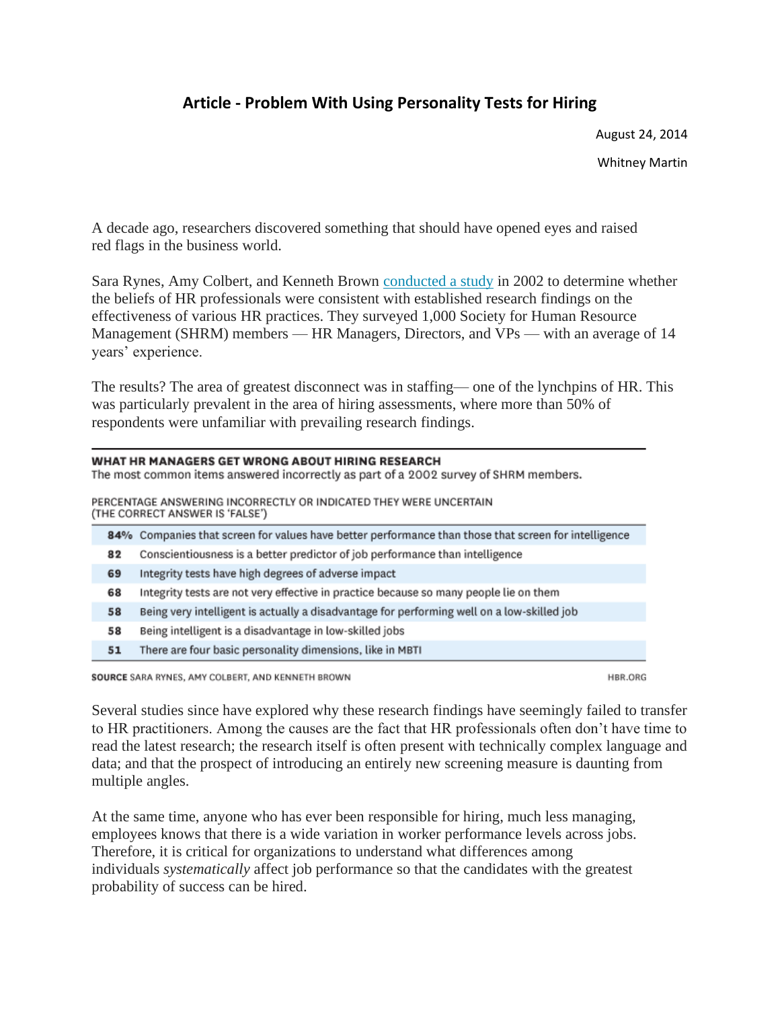## **Article - Problem With Using Personality Tests for Hiring**

August 24, 2014

Whitney Martin

A decade ago, researchers discovered something that should have opened eyes and raised red flags in the business world.

Sara Rynes, Amy Colbert, and Kenneth Brown conducted a study in 2002 to determine whether the beliefs of HR professionals were consistent with established research findings on the effectiveness of various HR practices. They surveyed 1,000 Society for Human Resource Management (SHRM) members — HR Managers, Directors, and VPs — with an average of 14 years' experience.

The results? The area of greatest disconnect was in staffing— one of the lynchpins of HR. This was particularly prevalent in the area of hiring assessments, where more than 50% of respondents were unfamiliar with prevailing research findings.

| WHAT HR MANAGERS GET WRONG ABOUT HIRING RESEARCH<br>The most common items answered incorrectly as part of a 2002 survey of SHRM members. |    |                                                                                                      |
|------------------------------------------------------------------------------------------------------------------------------------------|----|------------------------------------------------------------------------------------------------------|
| PERCENTAGE ANSWERING INCORRECTLY OR INDICATED THEY WERE UNCERTAIN<br>(THE CORRECT ANSWER IS 'FALSE')                                     |    |                                                                                                      |
|                                                                                                                                          |    | 84% Companies that screen for values have better performance than those that screen for intelligence |
|                                                                                                                                          | 82 | Conscientiousness is a better predictor of job performance than intelligence                         |
|                                                                                                                                          | 69 | Integrity tests have high degrees of adverse impact                                                  |
|                                                                                                                                          | 68 | Integrity tests are not very effective in practice because so many people lie on them                |
|                                                                                                                                          | 58 | Being very intelligent is actually a disadvantage for performing well on a low-skilled job           |
|                                                                                                                                          | 58 | Being intelligent is a disadvantage in low-skilled jobs                                              |
|                                                                                                                                          |    |                                                                                                      |

51 There are four basic personality dimensions, like in MBTI

SOURCE SARA RYNES, AMY COLBERT, AND KENNETH BROWN

HBR.ORG

Several studies since have explored why these research findings have seemingly failed to transfer to HR practitioners. Among the causes are the fact that HR professionals often don't have time to read the latest research; the research itself is often present with technically complex language and data; and that the prospect of introducing an entirely new screening measure is daunting from multiple angles.

At the same time, anyone who has ever been responsible for hiring, much less managing, employees knows that there is a wide variation in worker performance levels across jobs. Therefore, it is critical for organizations to understand what differences among individuals *systematically* affect job performance so that the candidates with the greatest probability of success can be hired.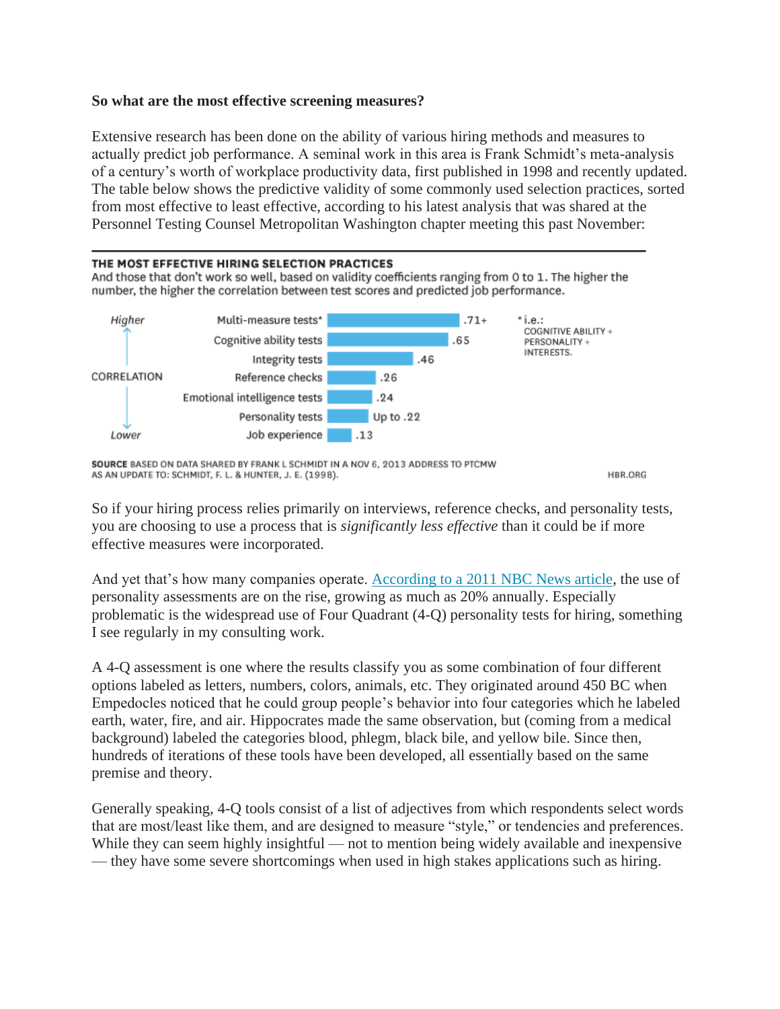## **So what are the most effective screening measures?**

Extensive research has been done on the ability of various hiring methods and measures to actually predict job performance. A seminal work in this area is Frank Schmidt's meta-analysis of a century's worth of workplace productivity data, first published in 1998 and recently updated. The table below shows the predictive validity of some commonly used selection practices, sorted from most effective to least effective, according to his latest analysis that was shared at the Personnel Testing Counsel Metropolitan Washington chapter meeting this past November:



SOURCE BASED ON DATA SHARED BY FRANK L SCHMIDT IN A NOV 6, 2013 ADDRESS TO PTCMW AS AN UPDATE TO: SCHMIDT, F. L. & HUNTER, J. E. (1998).

HBR.ORG

So if your hiring process relies primarily on interviews, reference checks, and personality tests, you are choosing to use a process that is *significantly less effective* than it could be if more effective measures were incorporated.

And yet that's how many companies operate. According to a [2011 NBC News article,](http://www.nbcnews.com/id/44120975/ns/business-careers/t/employers-turn-tests-weed-out-job-seekers/#.U_TsT7xdV_9) the use of personality assessments are on the rise, growing as much as 20% annually. Especially problematic is the widespread use of Four Quadrant (4-Q) personality tests for hiring, something I see regularly in my consulting work.

A 4-Q assessment is one where the results classify you as some combination of four different options labeled as letters, numbers, colors, animals, etc. They originated around 450 BC when Empedocles noticed that he could group people's behavior into four categories which he labeled earth, water, fire, and air. Hippocrates made the same observation, but (coming from a medical background) labeled the categories blood, phlegm, black bile, and yellow bile. Since then, hundreds of iterations of these tools have been developed, all essentially based on the same premise and theory.

Generally speaking, 4-Q tools consist of a list of adjectives from which respondents select words that are most/least like them, and are designed to measure "style," or tendencies and preferences. While they can seem highly insightful — not to mention being widely available and inexpensive — they have some severe shortcomings when used in high stakes applications such as hiring.